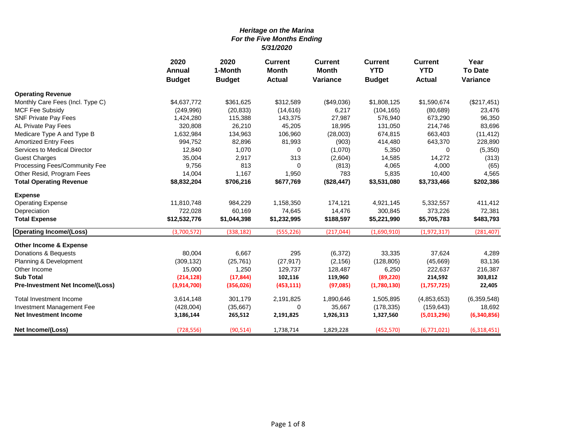|                                   | 2020<br>Annual | 2020<br><b>Current</b><br><b>Current</b><br>1-Month<br>Month<br><b>Month</b> |               | <b>Current</b><br><b>YTD</b> | <b>Current</b><br><b>YTD</b> | Year<br><b>To Date</b> |                 |
|-----------------------------------|----------------|------------------------------------------------------------------------------|---------------|------------------------------|------------------------------|------------------------|-----------------|
|                                   | <b>Budget</b>  | <b>Budget</b>                                                                | <b>Actual</b> | Variance                     | <b>Budget</b>                | <b>Actual</b>          | <b>Variance</b> |
| <b>Operating Revenue</b>          |                |                                                                              |               |                              |                              |                        |                 |
| Monthly Care Fees (Incl. Type C)  | \$4,637,772    | \$361,625                                                                    | \$312,589     | (\$49,036)                   | \$1,808,125                  | \$1,590,674            | (\$217,451)     |
| <b>MCF Fee Subsidy</b>            | (249, 996)     | (20, 833)                                                                    | (14, 616)     | 6,217                        | (104, 165)                   | (80, 689)              | 23,476          |
| <b>SNF Private Pay Fees</b>       | 1,424,280      | 115,388                                                                      | 143,375       | 27,987                       | 576,940                      | 673,290                | 96,350          |
| AL Private Pay Fees               | 320,808        | 26,210                                                                       | 45,205        | 18,995                       | 131,050                      | 214,746                | 83,696          |
| Medicare Type A and Type B        | 1,632,984      | 134,963                                                                      | 106,960       | (28,003)                     | 674,815                      | 663,403                | (11, 412)       |
| <b>Amortized Entry Fees</b>       | 994,752        | 82,896                                                                       | 81,993        | (903)                        | 414,480                      | 643,370                | 228,890         |
| Services to Medical Director      | 12,840         | 1,070                                                                        | 0             | (1,070)                      | 5,350                        | $\Omega$               | (5,350)         |
| <b>Guest Charges</b>              | 35,004         | 2,917                                                                        | 313           | (2,604)                      | 14,585                       | 14,272                 | (313)           |
| Processing Fees/Community Fee     | 9,756          | 813                                                                          | 0             | (813)                        | 4,065                        | 4,000                  | (65)            |
| Other Resid, Program Fees         | 14,004         | 1,167                                                                        | 1,950         | 783                          | 5,835                        | 10,400                 | 4,565           |
| <b>Total Operating Revenue</b>    | \$8,832,204    | \$706,216                                                                    | \$677,769     | (\$28,447)                   | \$3,531,080                  | \$3,733,466            | \$202,386       |
| <b>Expense</b>                    |                |                                                                              |               |                              |                              |                        |                 |
| <b>Operating Expense</b>          | 11,810,748     | 984,229                                                                      | 1,158,350     | 174,121                      | 4,921,145                    | 5,332,557              | 411,412         |
| Depreciation                      | 722,028        | 60,169                                                                       | 74,645        | 14,476                       | 300,845                      | 373,226                | 72,381          |
| <b>Total Expense</b>              | \$12,532,776   | \$1,044,398                                                                  | \$1,232,995   | \$188,597                    | \$5,221,990                  | \$5,705,783            | \$483,793       |
| <b>Operating Income/(Loss)</b>    | (3,700,572)    | (338, 182)                                                                   | (555, 226)    | (217, 044)                   | (1,690,910)                  | (1,972,317)            | (281, 407)      |
| <b>Other Income &amp; Expense</b> |                |                                                                              |               |                              |                              |                        |                 |
| Donations & Bequests              | 80,004         | 6,667                                                                        | 295           | (6, 372)                     | 33,335                       | 37,624                 | 4,289           |
| Planning & Development            | (309, 132)     | (25, 761)                                                                    | (27, 917)     | (2, 156)                     | (128, 805)                   | (45,669)               | 83,136          |
| Other Income                      | 15,000         | 1,250                                                                        | 129,737       | 128,487                      | 6,250                        | 222,637                | 216,387         |
| <b>Sub Total</b>                  | (214, 128)     | (17, 844)                                                                    | 102,116       | 119,960                      | (89, 220)                    | 214,592                | 303,812         |
| Pre-Investment Net Income/(Loss)  | (3,914,700)    | (356, 026)                                                                   | (453, 111)    | (97,085)                     | (1,780,130)                  | (1,757,725)            | 22,405          |
| Total Investment Income           | 3,614,148      | 301,179                                                                      | 2,191,825     | 1,890,646                    | 1,505,895                    | (4,853,653)            | (6,359,548)     |
| Investment Management Fee         | (428,004)      | (35,667)                                                                     | 0             | 35,667                       | (178, 335)                   | (159, 643)             | 18,692          |
| Net Investment Income             | 3,186,144      | 265,512                                                                      | 2,191,825     | 1,926,313                    | 1,327,560                    | (5,013,296)            | (6,340,856)     |
| Net Income/(Loss)                 | (728, 556)     | (90, 514)                                                                    | 1,738,714     | 1,829,228                    | (452, 570)                   | (6,771,021)            | (6,318,451)     |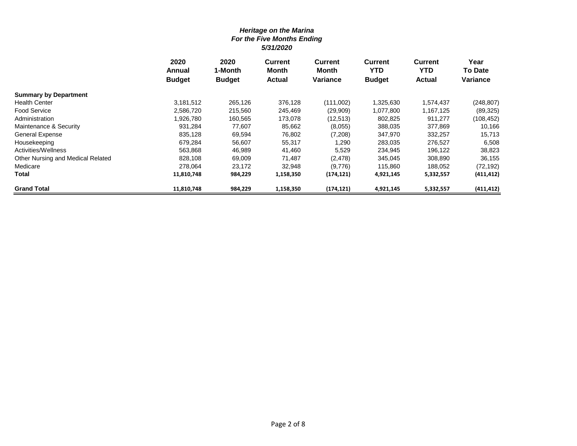|                                   | 2020<br>Annual | 2020<br>1-Month | <b>Current</b><br><b>Month</b> | Current<br>Month | <b>Current</b><br><b>YTD</b> | <b>Current</b><br><b>YTD</b> | Year<br><b>To Date</b> |
|-----------------------------------|----------------|-----------------|--------------------------------|------------------|------------------------------|------------------------------|------------------------|
|                                   | <b>Budget</b>  | <b>Budget</b>   | <b>Actual</b>                  | <b>Variance</b>  | <b>Budget</b>                | <b>Actual</b>                | <b>Variance</b>        |
| <b>Summary by Department</b>      |                |                 |                                |                  |                              |                              |                        |
| <b>Health Center</b>              | 3,181,512      | 265,126         | 376,128                        | (111,002)        | 1,325,630                    | 1,574,437                    | (248, 807)             |
| <b>Food Service</b>               | 2,586,720      | 215,560         | 245,469                        | (29,909)         | 1,077,800                    | 1,167,125                    | (89, 325)              |
| Administration                    | 1,926,780      | 160,565         | 173,078                        | (12, 513)        | 802,825                      | 911,277                      | (108, 452)             |
| Maintenance & Security            | 931,284        | 77,607          | 85,662                         | (8,055)          | 388,035                      | 377,869                      | 10,166                 |
| <b>General Expense</b>            | 835,128        | 69,594          | 76,802                         | (7,208)          | 347,970                      | 332,257                      | 15,713                 |
| Housekeeping                      | 679,284        | 56,607          | 55,317                         | 1,290            | 283,035                      | 276,527                      | 6,508                  |
| Activities/Wellness               | 563,868        | 46,989          | 41,460                         | 5,529            | 234,945                      | 196,122                      | 38,823                 |
| Other Nursing and Medical Related | 828,108        | 69,009          | 71,487                         | (2,478)          | 345,045                      | 308,890                      | 36,155                 |
| Medicare                          | 278,064        | 23,172          | 32,948                         | (9,776)          | 115,860                      | 188,052                      | (72, 192)              |
| Total                             | 11,810,748     | 984,229         | 1,158,350                      | (174, 121)       | 4,921,145                    | 5,332,557                    | (411, 412)             |
| <b>Grand Total</b>                | 11,810,748     | 984,229         | 1,158,350                      | (174, 121)       | 4,921,145                    | 5,332,557                    | (411, 412)             |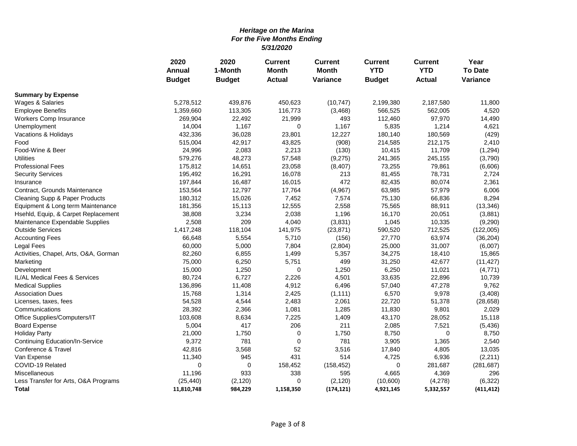|                                       | 2020          | 2020          | <b>Current</b> | <b>Current</b> | <b>Current</b> | <b>Current</b> | Year           |
|---------------------------------------|---------------|---------------|----------------|----------------|----------------|----------------|----------------|
|                                       | Annual        | 1-Month       | <b>Month</b>   | <b>Month</b>   | <b>YTD</b>     | <b>YTD</b>     | <b>To Date</b> |
|                                       | <b>Budget</b> | <b>Budget</b> | <b>Actual</b>  | Variance       | <b>Budget</b>  | <b>Actual</b>  | Variance       |
| <b>Summary by Expense</b>             |               |               |                |                |                |                |                |
| Wages & Salaries                      | 5,278,512     | 439,876       | 450,623        | (10, 747)      | 2,199,380      | 2,187,580      | 11,800         |
| <b>Employee Benefits</b>              | 1,359,660     | 113,305       | 116,773        | (3,468)        | 566,525        | 562,005        | 4,520          |
| Workers Comp Insurance                | 269,904       | 22,492        | 21,999         | 493            | 112,460        | 97,970         | 14,490         |
| Unemployment                          | 14,004        | 1,167         | 0              | 1,167          | 5,835          | 1,214          | 4,621          |
| Vacations & Holidays                  | 432,336       | 36,028        | 23,801         | 12,227         | 180,140        | 180,569        | (429)          |
| Food                                  | 515,004       | 42,917        | 43,825         | (908)          | 214,585        | 212,175        | 2,410          |
| Food-Wine & Beer                      | 24,996        | 2,083         | 2,213          | (130)          | 10,415         | 11,709         | (1, 294)       |
| <b>Utilities</b>                      | 579,276       | 48,273        | 57,548         | (9,275)        | 241,365        | 245,155        | (3,790)        |
| <b>Professional Fees</b>              | 175,812       | 14,651        | 23,058         | (8, 407)       | 73,255         | 79,861         | (6,606)        |
| <b>Security Services</b>              | 195,492       | 16,291        | 16,078         | 213            | 81,455         | 78,731         | 2,724          |
| Insurance                             | 197,844       | 16,487        | 16,015         | 472            | 82,435         | 80,074         | 2,361          |
| Contract, Grounds Maintenance         | 153,564       | 12,797        | 17,764         | (4,967)        | 63,985         | 57,979         | 6,006          |
| Cleaning Supp & Paper Products        | 180,312       | 15,026        | 7,452          | 7,574          | 75,130         | 66,836         | 8,294          |
| Equipment & Long term Maintenance     | 181,356       | 15,113        | 12,555         | 2,558          | 75,565         | 88,911         | (13, 346)      |
| Hsehld, Equip, & Carpet Replacement   | 38,808        | 3,234         | 2,038          | 1,196          | 16,170         | 20,051         | (3,881)        |
| Maintenance Expendable Supplies       | 2,508         | 209           | 4,040          | (3,831)        | 1,045          | 10,335         | (9,290)        |
| <b>Outside Services</b>               | 1,417,248     | 118,104       | 141,975        | (23, 871)      | 590,520        | 712,525        | (122,005)      |
| <b>Accounting Fees</b>                | 66,648        | 5,554         | 5,710          | (156)          | 27,770         | 63,974         | (36, 204)      |
| <b>Legal Fees</b>                     | 60,000        | 5,000         | 7,804          | (2,804)        | 25,000         | 31,007         | (6,007)        |
| Activities, Chapel, Arts, O&A, Gorman | 82,260        | 6,855         | 1,499          | 5,357          | 34,275         | 18,410         | 15,865         |
| Marketing                             | 75,000        | 6,250         | 5,751          | 499            | 31,250         | 42,677         | (11, 427)      |
| Development                           | 15,000        | 1,250         | 0              | 1,250          | 6,250          | 11,021         | (4, 771)       |
| IL/AL Medical Fees & Services         | 80,724        | 6,727         | 2,226          | 4,501          | 33,635         | 22,896         | 10,739         |
| <b>Medical Supplies</b>               | 136,896       | 11,408        | 4,912          | 6,496          | 57,040         | 47,278         | 9,762          |
| <b>Association Dues</b>               | 15,768        | 1,314         | 2,425          | (1, 111)       | 6,570          | 9,978          | (3, 408)       |
| Licenses, taxes, fees                 | 54,528        | 4,544         | 2,483          | 2,061          | 22,720         | 51,378         | (28, 658)      |
| Communications                        | 28,392        | 2,366         | 1,081          | 1,285          | 11,830         | 9,801          | 2,029          |
| Office Supplies/Computers/IT          | 103,608       | 8,634         | 7,225          | 1,409          | 43,170         | 28,052         | 15,118         |
| <b>Board Expense</b>                  | 5,004         | 417           | 206            | 211            | 2,085          | 7,521          | (5, 436)       |
| <b>Holiday Party</b>                  | 21,000        | 1,750         | $\mathbf 0$    | 1,750          | 8,750          | 0              | 8,750          |
| Continuing Education/In-Service       | 9,372         | 781           | $\mathbf 0$    | 781            | 3,905          | 1,365          | 2,540          |
| Conference & Travel                   | 42,816        | 3,568         | 52             | 3,516          | 17,840         | 4,805          | 13,035         |
| Van Expense                           | 11,340        | 945           | 431            | 514            | 4,725          | 6,936          | (2, 211)       |
| COVID-19 Related                      | $\mathbf 0$   | 0             | 158,452        | (158, 452)     | 0              | 281,687        | (281, 687)     |
| Miscellaneous                         | 11,196        | 933           | 338            | 595            | 4,665          | 4,369          | 296            |
| Less Transfer for Arts, O&A Programs  | (25, 440)     | (2, 120)      | 0              | (2, 120)       | (10,600)       | (4,278)        | (6, 322)       |
| <b>Total</b>                          | 11,810,748    | 984,229       | 1,158,350      | (174, 121)     | 4,921,145      | 5,332,557      | (411, 412)     |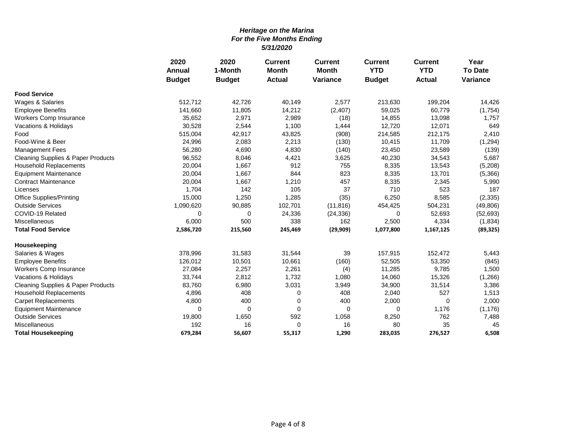|                                               | 2020          | 2020<br><b>Current</b> | <b>Current</b> | <b>Current</b>  | <b>Current</b> | Year          |                 |
|-----------------------------------------------|---------------|------------------------|----------------|-----------------|----------------|---------------|-----------------|
|                                               | <b>Annual</b> | 1-Month                | <b>Month</b>   | <b>Month</b>    | <b>YTD</b>     | <b>YTD</b>    | <b>To Date</b>  |
|                                               | <b>Budget</b> | <b>Budget</b>          | <b>Actual</b>  | <b>Variance</b> | <b>Budget</b>  | <b>Actual</b> | <b>Variance</b> |
| <b>Food Service</b>                           |               |                        |                |                 |                |               |                 |
| Wages & Salaries                              | 512.712       | 42,726                 | 40,149         | 2,577           | 213,630        | 199,204       | 14,426          |
| <b>Employee Benefits</b>                      | 141,660       | 11,805                 | 14,212         | (2, 407)        | 59,025         | 60,779        | (1,754)         |
| Workers Comp Insurance                        | 35,652        | 2,971                  | 2,989          | (18)            | 14,855         | 13,098        | 1,757           |
| Vacations & Holidays                          | 30,528        | 2,544                  | 1,100          | 1,444           | 12,720         | 12,071        | 649             |
| Food                                          | 515,004       | 42,917                 | 43,825         | (908)           | 214,585        | 212,175       | 2,410           |
| Food-Wine & Beer                              | 24,996        | 2,083                  | 2,213          | (130)           | 10,415         | 11,709        | (1, 294)        |
| <b>Management Fees</b>                        | 56,280        | 4,690                  | 4,830          | (140)           | 23,450         | 23,589        | (139)           |
| <b>Cleaning Supplies &amp; Paper Products</b> | 96,552        | 8,046                  | 4,421          | 3,625           | 40,230         | 34,543        | 5,687           |
| Household Replacements                        | 20,004        | 1,667                  | 912            | 755             | 8,335          | 13,543        | (5,208)         |
| <b>Equipment Maintenance</b>                  | 20,004        | 1,667                  | 844            | 823             | 8,335          | 13,701        | (5,366)         |
| <b>Contract Maintenance</b>                   | 20,004        | 1,667                  | 1,210          | 457             | 8,335          | 2,345         | 5,990           |
| Licenses                                      | 1,704         | 142                    | 105            | 37              | 710            | 523           | 187             |
| <b>Office Supplies/Printing</b>               | 15,000        | 1,250                  | 1,285          | (35)            | 6,250          | 8,585         | (2, 335)        |
| <b>Outside Services</b>                       | 1,090,620     | 90,885                 | 102,701        | (11, 816)       | 454,425        | 504,231       | (49, 806)       |
| COVID-19 Related                              | 0             | 0                      | 24,336         | (24, 336)       | 0              | 52,693        | (52, 693)       |
| Miscellaneous                                 | 6,000         | 500                    | 338            | 162             | 2,500          | 4,334         | (1,834)         |
| <b>Total Food Service</b>                     | 2,586,720     | 215,560                | 245,469        | (29, 909)       | 1,077,800      | 1,167,125     | (89, 325)       |
| Housekeeping                                  |               |                        |                |                 |                |               |                 |
| Salaries & Wages                              | 378,996       | 31,583                 | 31,544         | 39              | 157,915        | 152,472       | 5,443           |
| <b>Employee Benefits</b>                      | 126,012       | 10,501                 | 10,661         | (160)           | 52,505         | 53,350        | (845)           |
| Workers Comp Insurance                        | 27,084        | 2,257                  | 2,261          | (4)             | 11,285         | 9,785         | 1,500           |
| Vacations & Holidays                          | 33,744        | 2,812                  | 1,732          | 1,080           | 14,060         | 15,326        | (1,266)         |
| <b>Cleaning Supplies &amp; Paper Products</b> | 83,760        | 6,980                  | 3,031          | 3,949           | 34,900         | 31,514        | 3,386           |
| <b>Household Replacements</b>                 | 4,896         | 408                    | 0              | 408             | 2,040          | 527           | 1,513           |
| <b>Carpet Replacements</b>                    | 4,800         | 400                    | 0              | 400             | 2,000          | 0             | 2,000           |
| <b>Equipment Maintenance</b>                  | 0             | $\mathbf 0$            | 0              | $\mathbf 0$     | 0              | 1,176         | (1, 176)        |
| <b>Outside Services</b>                       | 19,800        | 1,650                  | 592            | 1,058           | 8,250          | 762           | 7,488           |
| Miscellaneous                                 | 192           | 16                     | 0              | 16              | 80             | 35            | 45              |
| <b>Total Housekeeping</b>                     | 679,284       | 56,607                 | 55,317         | 1,290           | 283,035        | 276,527       | 6,508           |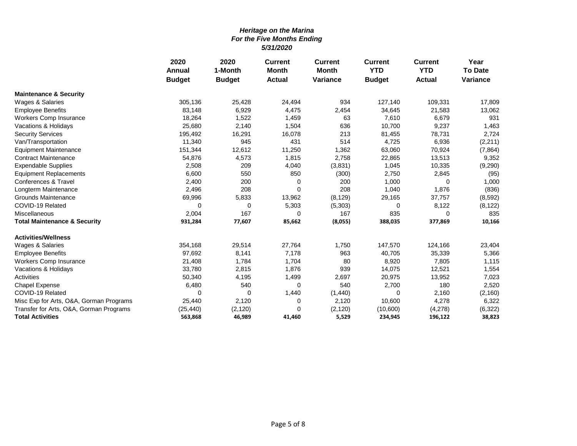|                                         | 2020          | 2020          | <b>Current</b> | <b>Current</b>  | <b>Current</b> | <b>Current</b> | Year            |
|-----------------------------------------|---------------|---------------|----------------|-----------------|----------------|----------------|-----------------|
|                                         | Annual        | 1-Month       | <b>Month</b>   | <b>Month</b>    | <b>YTD</b>     | <b>YTD</b>     | <b>To Date</b>  |
|                                         | <b>Budget</b> | <b>Budget</b> | <b>Actual</b>  | <b>Variance</b> | <b>Budget</b>  | <b>Actual</b>  | <b>Variance</b> |
| <b>Maintenance &amp; Security</b>       |               |               |                |                 |                |                |                 |
| Wages & Salaries                        | 305,136       | 25,428        | 24,494         | 934             | 127,140        | 109,331        | 17,809          |
| <b>Employee Benefits</b>                | 83,148        | 6,929         | 4,475          | 2,454           | 34,645         | 21,583         | 13,062          |
| Workers Comp Insurance                  | 18,264        | 1,522         | 1,459          | 63              | 7,610          | 6,679          | 931             |
| Vacations & Holidays                    | 25,680        | 2,140         | 1,504          | 636             | 10,700         | 9,237          | 1,463           |
| <b>Security Services</b>                | 195,492       | 16,291        | 16,078         | 213             | 81,455         | 78,731         | 2,724           |
| Van/Transportation                      | 11,340        | 945           | 431            | 514             | 4,725          | 6,936          | (2,211)         |
| <b>Equipment Maintenance</b>            | 151,344       | 12,612        | 11,250         | 1,362           | 63,060         | 70,924         | (7, 864)        |
| <b>Contract Maintenance</b>             | 54,876        | 4,573         | 1,815          | 2,758           | 22,865         | 13,513         | 9,352           |
| <b>Expendable Supplies</b>              | 2,508         | 209           | 4,040          | (3,831)         | 1,045          | 10,335         | (9, 290)        |
| <b>Equipment Replacements</b>           | 6,600         | 550           | 850            | (300)           | 2,750          | 2,845          | (95)            |
| Conferences & Travel                    | 2,400         | 200           | 0              | 200             | 1,000          | 0              | 1,000           |
| Longterm Maintenance                    | 2,496         | 208           | $\Omega$       | 208             | 1,040          | 1,876          | (836)           |
| <b>Grounds Maintenance</b>              | 69,996        | 5,833         | 13,962         | (8, 129)        | 29,165         | 37,757         | (8,592)         |
| COVID-19 Related                        | 0             | 0             | 5,303          | (5,303)         | 0              | 8,122          | (8, 122)        |
| Miscellaneous                           | 2,004         | 167           | $\Omega$       | 167             | 835            | 0              | 835             |
| <b>Total Maintenance &amp; Security</b> | 931,284       | 77,607        | 85,662         | (8,055)         | 388,035        | 377,869        | 10,166          |
| <b>Activities/Wellness</b>              |               |               |                |                 |                |                |                 |
| Wages & Salaries                        | 354,168       | 29,514        | 27,764         | 1,750           | 147,570        | 124,166        | 23,404          |
| <b>Employee Benefits</b>                | 97,692        | 8,141         | 7,178          | 963             | 40,705         | 35,339         | 5,366           |
| Workers Comp Insurance                  | 21,408        | 1,784         | 1,704          | 80              | 8,920          | 7,805          | 1,115           |
| Vacations & Holidays                    | 33,780        | 2,815         | 1,876          | 939             | 14,075         | 12,521         | 1,554           |
| Activities                              | 50,340        | 4,195         | 1,499          | 2,697           | 20,975         | 13,952         | 7,023           |
| Chapel Expense                          | 6,480         | 540           | 0              | 540             | 2,700          | 180            | 2,520           |
| COVID-19 Related                        | $\Omega$      | 0             | 1,440          | (1,440)         | 0              | 2,160          | (2, 160)        |
| Misc Exp for Arts, O&A, Gorman Programs | 25,440        | 2,120         | 0              | 2,120           | 10,600         | 4,278          | 6,322           |
| Transfer for Arts, O&A, Gorman Programs | (25, 440)     | (2, 120)      | $\Omega$       | (2, 120)        | (10,600)       | (4,278)        | (6, 322)        |
| <b>Total Activities</b>                 | 563,868       | 46,989        | 41,460         | 5,529           | 234,945        | 196,122        | 38,823          |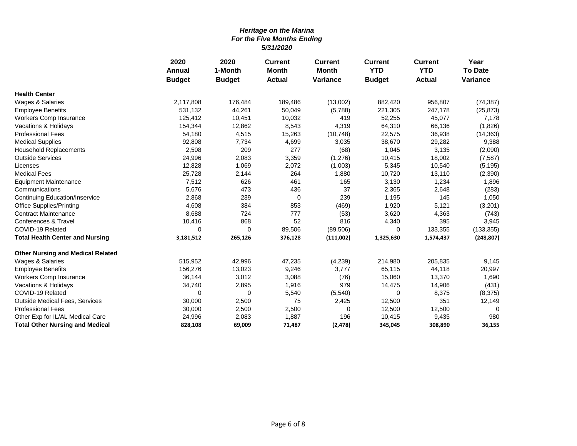|                                          | 2020<br>Annual | 2020<br>1-Month | <b>Current</b><br><b>Month</b> | <b>Current</b><br><b>Month</b> | <b>Current</b><br><b>YTD</b> | <b>Current</b><br><b>YTD</b> | Year<br><b>To Date</b> |
|------------------------------------------|----------------|-----------------|--------------------------------|--------------------------------|------------------------------|------------------------------|------------------------|
|                                          | <b>Budget</b>  | <b>Budget</b>   | <b>Actual</b>                  | <b>Variance</b>                | <b>Budget</b>                | <b>Actual</b>                | <b>Variance</b>        |
| <b>Health Center</b>                     |                |                 |                                |                                |                              |                              |                        |
| Wages & Salaries                         | 2,117,808      | 176,484         | 189,486                        | (13,002)                       | 882,420                      | 956,807                      | (74, 387)              |
| <b>Employee Benefits</b>                 | 531,132        | 44,261          | 50,049                         | (5,788)                        | 221,305                      | 247,178                      | (25, 873)              |
| Workers Comp Insurance                   | 125,412        | 10,451          | 10,032                         | 419                            | 52,255                       | 45,077                       | 7,178                  |
| Vacations & Holidays                     | 154,344        | 12,862          | 8,543                          | 4,319                          | 64,310                       | 66,136                       | (1,826)                |
| <b>Professional Fees</b>                 | 54,180         | 4,515           | 15,263                         | (10, 748)                      | 22,575                       | 36,938                       | (14, 363)              |
| <b>Medical Supplies</b>                  | 92,808         | 7,734           | 4,699                          | 3,035                          | 38,670                       | 29,282                       | 9,388                  |
| <b>Household Replacements</b>            | 2,508          | 209             | 277                            | (68)                           | 1,045                        | 3,135                        | (2,090)                |
| <b>Outside Services</b>                  | 24,996         | 2,083           | 3,359                          | (1,276)                        | 10,415                       | 18,002                       | (7, 587)               |
| Licenses                                 | 12,828         | 1,069           | 2,072                          | (1,003)                        | 5,345                        | 10,540                       | (5, 195)               |
| <b>Medical Fees</b>                      | 25,728         | 2,144           | 264                            | 1,880                          | 10,720                       | 13,110                       | (2,390)                |
| <b>Equipment Maintenance</b>             | 7,512          | 626             | 461                            | 165                            | 3,130                        | 1,234                        | 1,896                  |
| Communications                           | 5,676          | 473             | 436                            | 37                             | 2,365                        | 2,648                        | (283)                  |
| <b>Continuing Education/Inservice</b>    | 2,868          | 239             | $\mathbf 0$                    | 239                            | 1,195                        | 145                          | 1,050                  |
| <b>Office Supplies/Printing</b>          | 4,608          | 384             | 853                            | (469)                          | 1,920                        | 5,121                        | (3,201)                |
| <b>Contract Maintenance</b>              | 8,688          | 724             | 777                            | (53)                           | 3,620                        | 4,363                        | (743)                  |
| Conferences & Travel                     | 10,416         | 868             | 52                             | 816                            | 4,340                        | 395                          | 3,945                  |
| COVID-19 Related                         | $\Omega$       | $\Omega$        | 89,506                         | (89, 506)                      | 0                            | 133,355                      | (133, 355)             |
| <b>Total Health Center and Nursing</b>   | 3,181,512      | 265,126         | 376,128                        | (111,002)                      | 1,325,630                    | 1,574,437                    | (248, 807)             |
| <b>Other Nursing and Medical Related</b> |                |                 |                                |                                |                              |                              |                        |
| Wages & Salaries                         | 515,952        | 42,996          | 47,235                         | (4,239)                        | 214,980                      | 205,835                      | 9,145                  |
| <b>Employee Benefits</b>                 | 156,276        | 13,023          | 9,246                          | 3,777                          | 65,115                       | 44,118                       | 20,997                 |
| Workers Comp Insurance                   | 36,144         | 3,012           | 3,088                          | (76)                           | 15,060                       | 13,370                       | 1,690                  |
| Vacations & Holidays                     | 34,740         | 2,895           | 1,916                          | 979                            | 14,475                       | 14,906                       | (431)                  |
| COVID-19 Related                         | 0              | 0               | 5,540                          | (5, 540)                       | 0                            | 8,375                        | (8,375)                |
| <b>Outside Medical Fees, Services</b>    | 30,000         | 2,500           | 75                             | 2,425                          | 12,500                       | 351                          | 12,149                 |
| <b>Professional Fees</b>                 | 30,000         | 2,500           | 2,500                          | 0                              | 12,500                       | 12,500                       | $\Omega$               |
| Other Exp for IL/AL Medical Care         | 24,996         | 2,083           | 1,887                          | 196                            | 10,415                       | 9,435                        | 980                    |
| <b>Total Other Nursing and Medical</b>   | 828,108        | 69,009          | 71,487                         | (2, 478)                       | 345,045                      | 308,890                      | 36,155                 |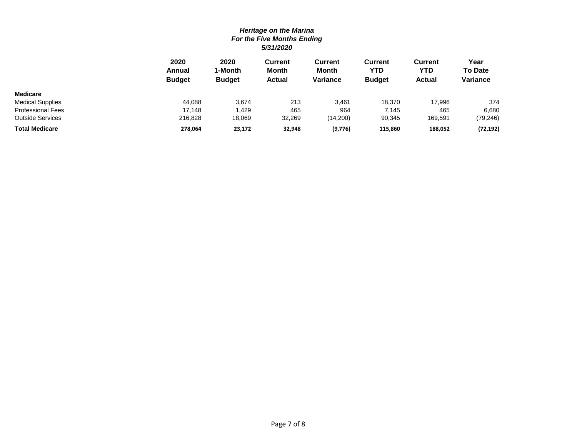|                          | 2020<br>Annual<br><b>Budget</b> | 2020<br>1-Month<br><b>Budget</b> | <b>Current</b><br><b>Month</b><br><b>Actual</b> | Current<br>Month<br>Variance | <b>Current</b><br>YTD<br><b>Budget</b> | <b>Current</b><br>YTD<br><b>Actual</b> | Year<br><b>To Date</b><br><b>Variance</b> |
|--------------------------|---------------------------------|----------------------------------|-------------------------------------------------|------------------------------|----------------------------------------|----------------------------------------|-------------------------------------------|
| <b>Medicare</b>          |                                 |                                  |                                                 |                              |                                        |                                        |                                           |
| <b>Medical Supplies</b>  | 44.088                          | 3.674                            | 213                                             | 3,461                        | 18.370                                 | 17.996                                 | 374                                       |
| <b>Professional Fees</b> | 17.148                          | .429                             | 465                                             | 964                          | 7.145                                  | 465                                    | 6,680                                     |
| Outside Services         | 216,828                         | 18,069                           | 32,269                                          | (14,200)                     | 90,345                                 | 169,591                                | (79, 246)                                 |
| <b>Total Medicare</b>    | 278,064                         | 23,172                           | 32,948                                          | (9,776)                      | 115,860                                | 188,052                                | (72, 192)                                 |